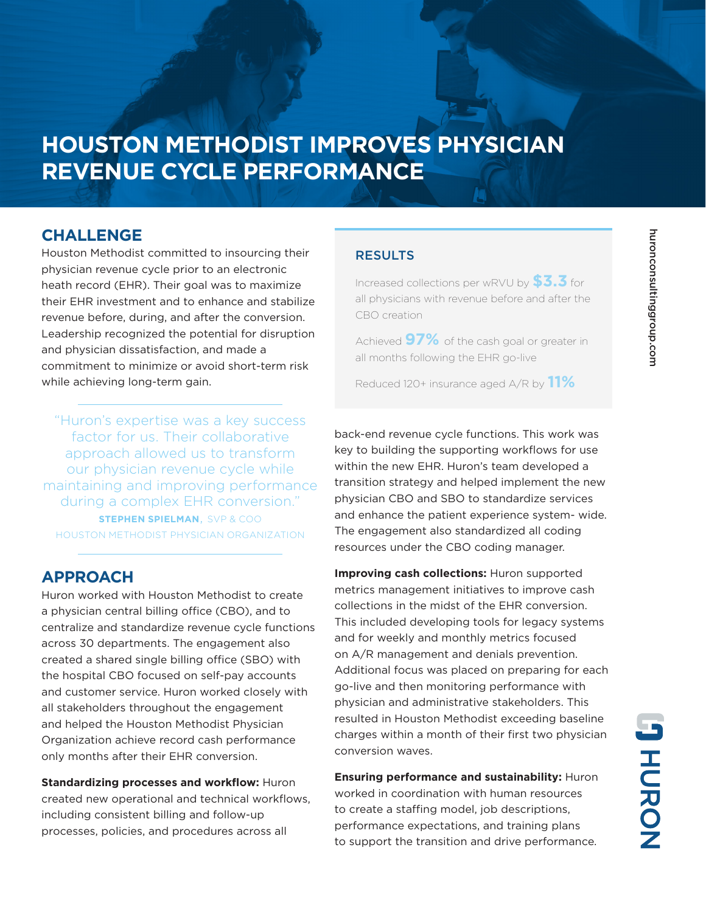# **HOUSTON METHODIST IMPROVES PHYSICIAN REVENUE CYCLE PERFORMANCE**

### **CHALLENGE**

Houston Methodist committed to insourcing their physician revenue cycle prior to an electronic heath record (EHR). Their goal was to maximize their EHR investment and to enhance and stabilize revenue before, during, and after the conversion. Leadership recognized the potential for disruption and physician dissatisfaction, and made a commitment to minimize or avoid short-term risk while achieving long-term gain.

"Huron's expertise was a key success factor for us. Their collaborative approach allowed us to transform our physician revenue cycle while maintaining and improving performance during a complex EHR conversion." **STEPHEN SPIELMAN**, SVP & COO HOUSTON METHODIST PHYSICIAN ORGANIZATION

### **APPROACH**

Huron worked with Houston Methodist to create a physician central billing office (CBO), and to centralize and standardize revenue cycle functions across 30 departments. The engagement also created a shared single billing office (SBO) with the hospital CBO focused on self-pay accounts and customer service. Huron worked closely with all stakeholders throughout the engagement and helped the Houston Methodist Physician Organization achieve record cash performance only months after their EHR conversion.

**Standardizing processes and workflow:** Huron created new operational and technical workflows, including consistent billing and follow-up processes, policies, and procedures across all

#### **RESULTS**

Increased collections per wRVU by **\$3.3** for all physicians with revenue before and after the CBO creation

Achieved **97%** of the cash goal or greater in all months following the EHR go-live

Reduced 120+ insurance aged A/R by **11%**

back-end revenue cycle functions. This work was key to building the supporting workflows for use within the new EHR. Huron's team developed a transition strategy and helped implement the new physician CBO and SBO to standardize services and enhance the patient experience system- wide. The engagement also standardized all coding resources under the CBO coding manager.

**Improving cash collections:** Huron supported metrics management initiatives to improve cash collections in the midst of the EHR conversion. This included developing tools for legacy systems and for weekly and monthly metrics focused on A/R management and denials prevention. Additional focus was placed on preparing for each go-live and then monitoring performance with physician and administrative stakeholders. This resulted in Houston Methodist exceeding baseline charges within a month of their first two physician conversion waves.

**Ensuring performance and sustainability:** Huron worked in coordination with human resources to create a staffing model, job descriptions, performance expectations, and training plans to support the transition and drive performance.